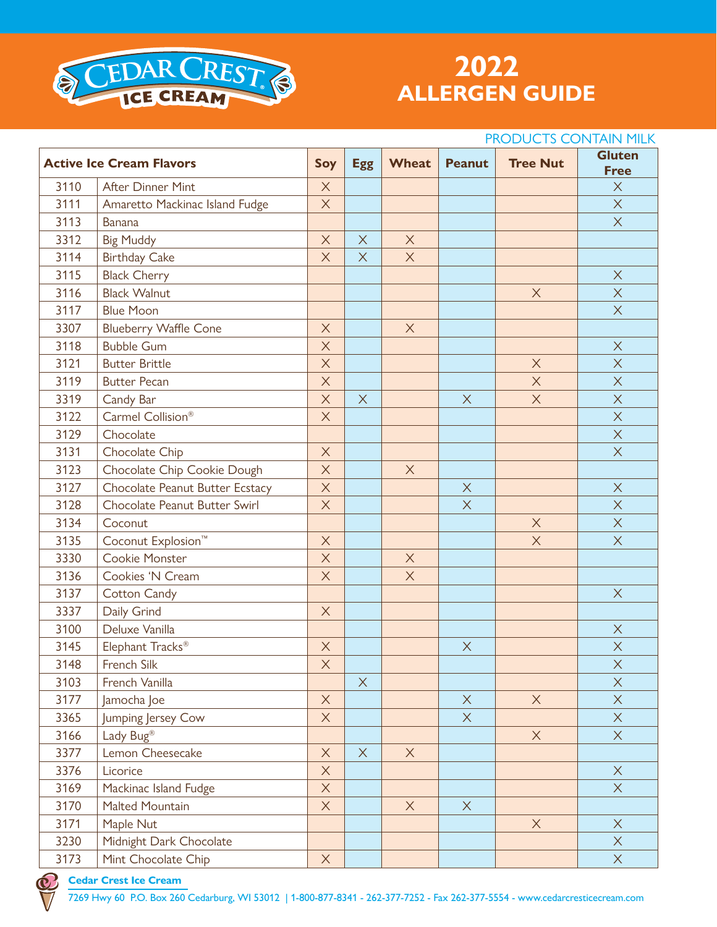

# **ALLERGEN GUIDE**

## **Active Ice Cream Flavors Soy Egg Wheat Peanut Tree Nut Gluten Free** After Dinner Mint X X Amaretto Mackinac Island Fudge X X Banana X 3312 Big Muddy  $\begin{array}{|c|c|c|c|c|}\n\hline\n & X & X & X\n\end{array}$ 3114 Birthday Cake  $\begin{array}{|c|c|c|c|c|c|}\n\hline\n & X & X & X\n\end{array}$ 3115 Black Cherry **X X**  Black Walnut X X 3117 Slue Moon Article (New York 1) Article (New York 1) Article (New York 1) Article (New York 1) A Blueberry Waffle Cone X X Bubble Gum X X Butter Brittle X X X Butter Pecan X X X Candy Bar X X X X X Carmel Collision® X X 3129 Chocolate **X All Chocolate** X Chocolate Chip X X Chocolate Chip Cookie Dough X X Chocolate Peanut Butter Ecstacy X X X Chocolate Peanut Butter Swirl X X X Coconut X X Coconut Explosion™ X X X 3330 Cookie Monster X X X X X 3136 Cookies 'N Cream  $\overline{X}$   $\overline{X}$   $\overline{X}$   $\overline{X}$ 3137 Cotton Candy **X Cotton Candy X**  Daily Grind X Deluxe Vanilla X Elephant Tracks® X X X French Silk X X French Vanilla X X Jamocha Joe X X X X Jumping Jersey Cow X X X Lady Bug® X X 3377 Lemon Cheesecake  $\overline{X}$   $\overline{X}$   $\overline{X}$   $\overline{X}$  Licorice X X Mackinac Island Fudge X X Malted Mountain X X X Maple Nut X X 3230 Midnight Dark Chocolate **X X X**  Mint Chocolate Chip X X PRODUCTS CONTAIN MILK

#### **Cedar Crest Ice Cream**

7269 Hwy 60 P.O. Box 260 Cedarburg, WI 53012 | 1-800-877-8341 - 262-377-7252 - Fax 262-377-5554 - www.cedarcresticecream.com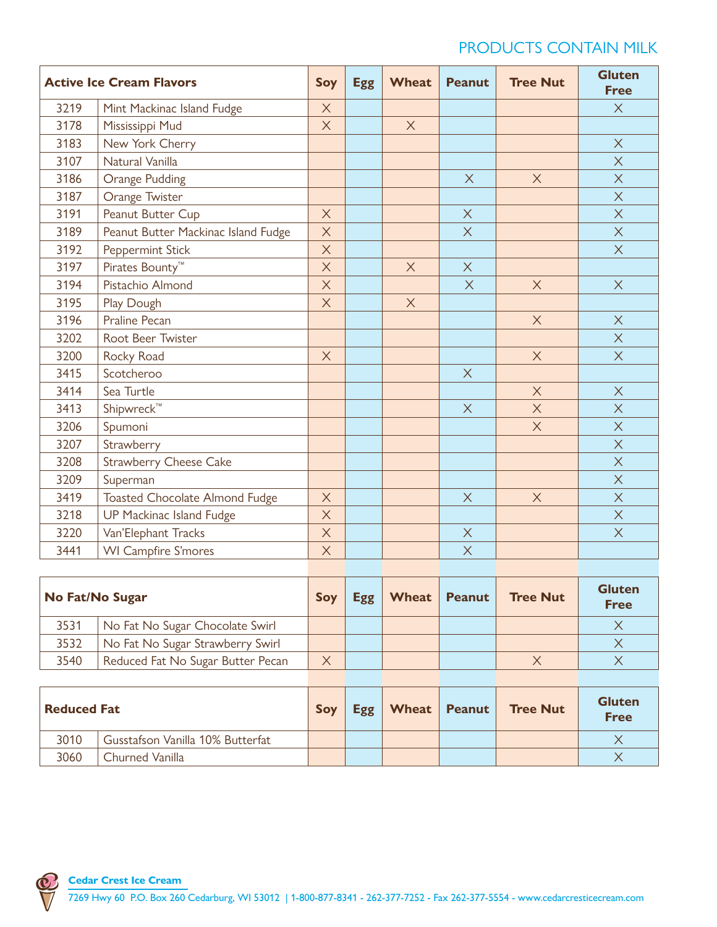# PRODUCTS CONTAIN MILK

| <b>Active Ice Cream Flavors</b> |                                     | Soy                       | <b>Egg</b> | <b>Wheat</b> | <b>Peanut</b> | <b>Tree Nut</b> | <b>Gluten</b><br><b>Free</b> |
|---------------------------------|-------------------------------------|---------------------------|------------|--------------|---------------|-----------------|------------------------------|
| 3219                            | Mint Mackinac Island Fudge          | X                         |            |              |               |                 | $\times$                     |
| 3178                            | Mississippi Mud                     | $\boldsymbol{\mathsf{X}}$ |            | $\times$     |               |                 |                              |
| 3183                            | New York Cherry                     |                           |            |              |               |                 | $\times$                     |
| 3107                            | Natural Vanilla                     |                           |            |              |               |                 | $\times$                     |
| 3186                            | Orange Pudding                      |                           |            |              | $\times$      | $\times$        | $\times$                     |
| 3187                            | Orange Twister                      |                           |            |              |               |                 | $\times$                     |
| 3191                            | Peanut Butter Cup                   | $\times$                  |            |              | $\times$      |                 | $\times$                     |
| 3189                            | Peanut Butter Mackinac Island Fudge | $\times$                  |            |              | $\times$      |                 | $\times$                     |
| 3192                            | Peppermint Stick                    | $\times$                  |            |              |               |                 | $\times$                     |
| 3197                            | Pirates Bounty <sup>™</sup>         | $\times$                  |            | $\times$     | $\times$      |                 |                              |
| 3194                            | Pistachio Almond                    | $\times$                  |            |              | $\sf X$       | $\times$        | $\sf X$                      |
| 3195                            | Play Dough                          | $\times$                  |            | $\times$     |               |                 |                              |
| 3196                            | <b>Praline Pecan</b>                |                           |            |              |               | $\times$        | $\times$                     |
| 3202                            | Root Beer Twister                   |                           |            |              |               |                 | $\times$                     |
| 3200                            | Rocky Road                          | $\times$                  |            |              |               | $\times$        | $\times$                     |
| 3415                            | Scotcheroo                          |                           |            |              | $\times$      |                 |                              |
| 3414                            | Sea Turtle                          |                           |            |              |               | $\times$        | $\times$                     |
| 3413                            | Shipwreck™                          |                           |            |              | $\times$      | $\times$        | $\times$                     |
| 3206                            | Spumoni                             |                           |            |              |               | $\times$        | $\times$                     |
| 3207                            | Strawberry                          |                           |            |              |               |                 | $\times$                     |
| 3208                            | <b>Strawberry Cheese Cake</b>       |                           |            |              |               |                 | $\times$                     |
| 3209                            | Superman                            |                           |            |              |               |                 | $\times$                     |
| 3419                            | Toasted Chocolate Almond Fudge      | $\times$                  |            |              | $\times$      | $\times$        | $\times$                     |
| 3218                            | UP Mackinac Island Fudge            | $\times$                  |            |              |               |                 | X                            |
| 3220                            | Van'Elephant Tracks                 | $\times$                  |            |              | $\mathsf X$   |                 | $\times$                     |
| 3441                            | <b>WI Campfire S'mores</b>          | $\times$                  |            |              | $\times$      |                 |                              |

| No Fat/No Sugar |                                   | Soy      | <b>Egg</b> | Wheat | Peanut | <b>Tree Nut</b> | <b>Gluten</b><br><b>Free</b> |
|-----------------|-----------------------------------|----------|------------|-------|--------|-----------------|------------------------------|
| 3531            | No Fat No Sugar Chocolate Swirl   |          |            |       |        |                 |                              |
| 3532            | No Fat No Sugar Strawberry Swirl  |          |            |       |        |                 |                              |
| 3540            | Reduced Fat No Sugar Butter Pecan | $\times$ |            |       |        |                 |                              |

| <b>Reduced Fat</b> |                                  | Soy |  | <b>Egg</b>   Wheat   Peanut | Tree Nut | <b>Gluten</b><br><b>Free</b> |
|--------------------|----------------------------------|-----|--|-----------------------------|----------|------------------------------|
| 3010               | Gusstafson Vanilla 10% Butterfat |     |  |                             |          |                              |
| 3060               | Churned Vanilla                  |     |  |                             |          |                              |